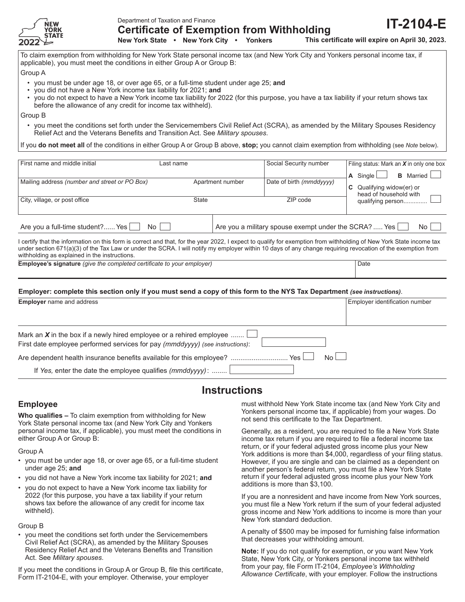

Department of Taxation and Finance

**Certificate of Exemption from Withholding New York State • New York City • Yonkers**

**IT-2104-E This certificate will expire on April 30, 2023.**

To claim exemption from withholding for New York State personal income tax (and New York City and Yonkers personal income tax, if applicable), you must meet the conditions in either Group A or Group B:

Group A

- you must be under age 18, or over age 65, or a full-time student under age 25; and
- you did not have a New York income tax liability for 2021; **and**
- you do not expect to have a New York income tax liability for 2022 (for this purpose, you have a tax liability if your return shows tax before the allowance of any credit for income tax withheld).

Group B

• you meet the conditions set forth under the Servicemembers Civil Relief Act (SCRA), as amended by the Military Spouses Residency Relief Act and the Veterans Benefits and Transition Act. See *Military spouses*.

If you **do not meet all** of the conditions in either Group A or Group B above, **stop;** you cannot claim exemption from withholding (see *Note* below).

| First name and middle initial                 | Last name        | Social Security number                                | Filing status: Mark an $X$ in only one box<br><b>B</b> Married<br>$\overline{A}$ Single $\Box$ |
|-----------------------------------------------|------------------|-------------------------------------------------------|------------------------------------------------------------------------------------------------|
| Mailing address (number and street or PO Box) | Apartment number | Date of birth (mmddyyyy)                              | <b>C</b> Qualifying widow(er) or<br>head of household with                                     |
| City, village, or post office                 | State            | 7IP code                                              | qualifying person                                                                              |
| Are you a full-time student? Yes<br>No l      |                  | Are you a military spouse exempt under the SCRA?  Yes | No l                                                                                           |

I certify that the information on this form is correct and that, for the year 2022, I expect to qualify for exemption from withholding of New York State income tax under section 671(a)(3) of the Tax Law or under the SCRA. I will notify my employer within 10 days of any change requiring revocation of the exemption from withholding as explained in the instructions.

**Employee's signature** (*give the completed certificate to your employer*) Date

#### **Employer: complete this section only if you must send a copy of this form to the NYS Tax Department** *(see instructions)*.

| <b>Employer</b> name and address                                                                                                                      | Employer identification number |  |
|-------------------------------------------------------------------------------------------------------------------------------------------------------|--------------------------------|--|
|                                                                                                                                                       |                                |  |
| Mark an X in the box if a newly hired employee or a rehired employee<br>First date employee performed services for pay (mmddyyyy) (see instructions): |                                |  |
| $No$ $\Box$<br>Yes<br>Are dependent health insurance benefits available for this employee?                                                            |                                |  |
| If Yes, enter the date the employee qualifies $(mmddyyyy)$ :                                                                                          |                                |  |

# **Instructions**

## **Employee**

**Who qualifies –** To claim exemption from withholding for New York State personal income tax (and New York City and Yonkers personal income tax, if applicable), you must meet the conditions in either Group A or Group B:

Group A

- you must be under age 18, or over age 65, or a full-time student under age 25; **and**
- you did not have a New York income tax liability for 2021; **and**
- you do not expect to have a New York income tax liability for 2022 (for this purpose, you have a tax liability if your return shows tax before the allowance of any credit for income tax withheld).

Group B

• you meet the conditions set forth under the Servicemembers Civil Relief Act (SCRA), as amended by the Military Spouses Residency Relief Act and the Veterans Benefits and Transition Act. See *Military spouses*.

If you meet the conditions in Group A or Group B, file this certificate, Form IT-2104-E, with your employer. Otherwise, your employer

must withhold New York State income tax (and New York City and Yonkers personal income tax, if applicable) from your wages. Do not send this certificate to the Tax Department.

Generally, as a resident, you are required to file a New York State income tax return if you are required to file a federal income tax return, or if your federal adjusted gross income plus your New York additions is more than \$4,000, regardless of your filing status. However, if you are single and can be claimed as a dependent on another person's federal return, you must file a New York State return if your federal adjusted gross income plus your New York additions is more than \$3,100.

If you are a nonresident and have income from New York sources, you must file a New York return if the sum of your federal adjusted gross income and New York additions to income is more than your New York standard deduction.

A penalty of \$500 may be imposed for furnishing false information that decreases your withholding amount.

**Note:** If you do not qualify for exemption, or you want New York State, New York City, or Yonkers personal income tax withheld from your pay, file Form IT-2104, *Employee's Withholding Allowance Certificate*, with your employer. Follow the instructions